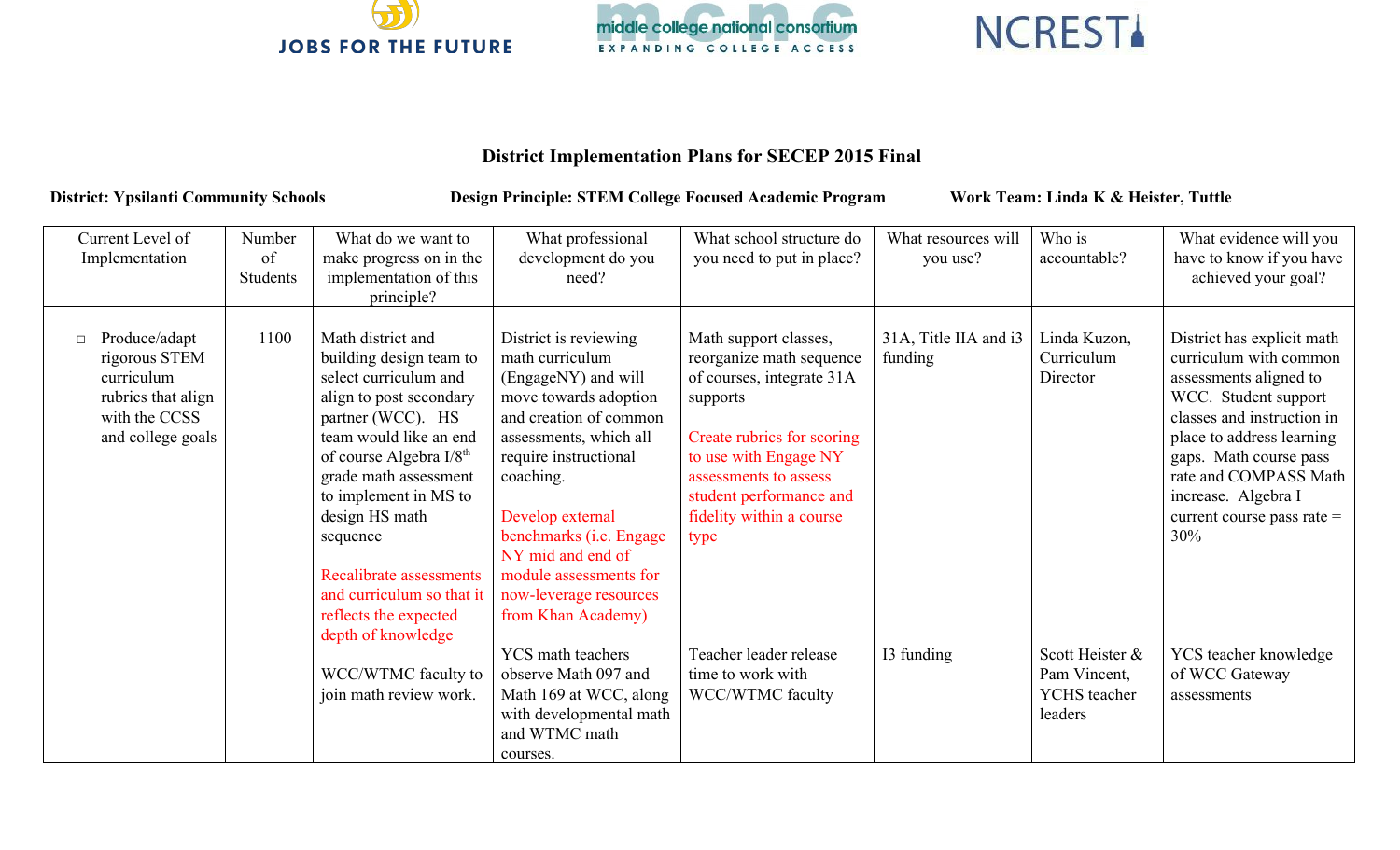





## **District Implementation Plans for SECEP 2015 Final**

District: Ypsilanti Community Schools Design Principle: STEM College Focused Academic Program Work Team: Linda K & Heister, Tuttle

| Current Level of<br>Implementation                                                                       | Number<br>of<br>Students | What do we want to<br>make progress on in the<br>implementation of this<br>principle?                                                                                                                                                                                                                                                                                         | What professional<br>development do you<br>need?                                                                                                                                                                                                                                                                                 | What school structure do<br>you need to put in place?                                                                                                                                                                                     | What resources will<br>you use?  | Who is<br>accountable?                                            | What evidence will you<br>have to know if you have<br>achieved your goal?                                                                                                                                                                                                          |
|----------------------------------------------------------------------------------------------------------|--------------------------|-------------------------------------------------------------------------------------------------------------------------------------------------------------------------------------------------------------------------------------------------------------------------------------------------------------------------------------------------------------------------------|----------------------------------------------------------------------------------------------------------------------------------------------------------------------------------------------------------------------------------------------------------------------------------------------------------------------------------|-------------------------------------------------------------------------------------------------------------------------------------------------------------------------------------------------------------------------------------------|----------------------------------|-------------------------------------------------------------------|------------------------------------------------------------------------------------------------------------------------------------------------------------------------------------------------------------------------------------------------------------------------------------|
| Produce/adapt<br>rigorous STEM<br>curriculum<br>rubrics that align<br>with the CCSS<br>and college goals | 1100                     | Math district and<br>building design team to<br>select curriculum and<br>align to post secondary<br>partner (WCC). HS<br>team would like an end<br>of course Algebra I/8 <sup>th</sup><br>grade math assessment<br>to implement in MS to<br>design HS math<br>sequence<br>Recalibrate assessments<br>and curriculum so that it<br>reflects the expected<br>depth of knowledge | District is reviewing<br>math curriculum<br>(EngageNY) and will<br>move towards adoption<br>and creation of common<br>assessments, which all<br>require instructional<br>coaching.<br>Develop external<br>benchmarks (i.e. Engage<br>NY mid and end of<br>module assessments for<br>now-leverage resources<br>from Khan Academy) | Math support classes,<br>reorganize math sequence<br>of courses, integrate 31A<br>supports<br>Create rubrics for scoring<br>to use with Engage NY<br>assessments to assess<br>student performance and<br>fidelity within a course<br>type | 31A, Title IIA and i3<br>funding | Linda Kuzon,<br>Curriculum<br>Director                            | District has explicit math<br>curriculum with common<br>assessments aligned to<br>WCC. Student support<br>classes and instruction in<br>place to address learning<br>gaps. Math course pass<br>rate and COMPASS Math<br>increase. Algebra I<br>current course pass rate $=$<br>30% |
|                                                                                                          |                          | WCC/WTMC faculty to<br>join math review work.                                                                                                                                                                                                                                                                                                                                 | <b>YCS</b> math teachers<br>observe Math 097 and<br>Math 169 at WCC, along<br>with developmental math<br>and WTMC math<br>courses.                                                                                                                                                                                               | Teacher leader release<br>time to work with<br>WCC/WTMC faculty                                                                                                                                                                           | I3 funding                       | Scott Heister &<br>Pam Vincent,<br><b>YCHS</b> teacher<br>leaders | YCS teacher knowledge<br>of WCC Gateway<br>assessments                                                                                                                                                                                                                             |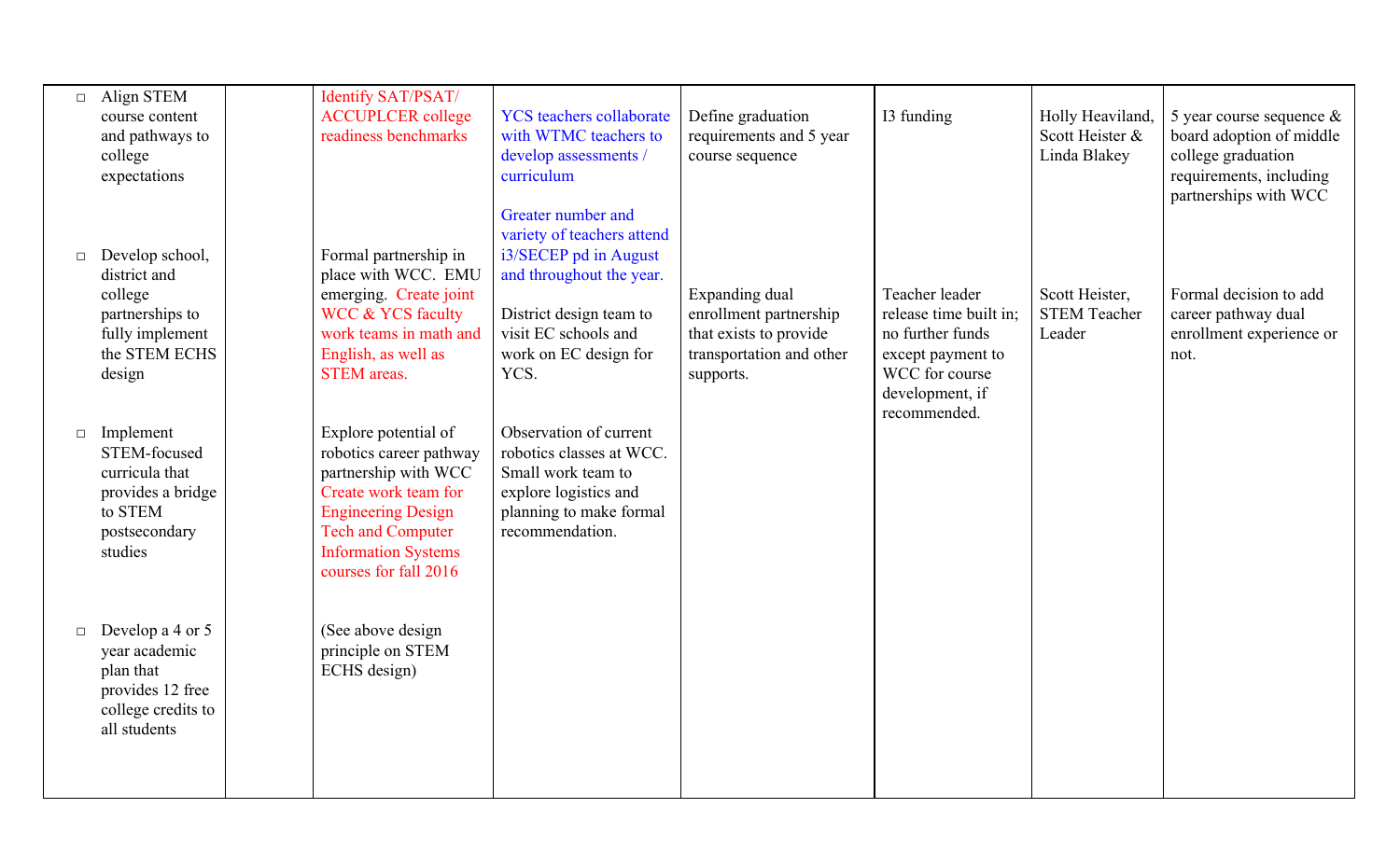| $\Box$ | Align STEM<br>course content<br>and pathways to<br>college<br>expectations                                  | Identify SAT/PSAT/<br><b>ACCUPLCER</b> college<br>readiness benchmarks                                                                                                                                          | <b>YCS</b> teachers collaborate<br>with WTMC teachers to<br>develop assessments /<br>curriculum                                                                                           | Define graduation<br>requirements and 5 year<br>course sequence                                             | I3 funding                                                                                                             | Holly Heaviland<br>Scott Heister &<br>Linda Blakey | 5 year course sequence $\&$<br>board adoption of middle<br>college graduation<br>requirements, including<br>partnerships with WCC |
|--------|-------------------------------------------------------------------------------------------------------------|-----------------------------------------------------------------------------------------------------------------------------------------------------------------------------------------------------------------|-------------------------------------------------------------------------------------------------------------------------------------------------------------------------------------------|-------------------------------------------------------------------------------------------------------------|------------------------------------------------------------------------------------------------------------------------|----------------------------------------------------|-----------------------------------------------------------------------------------------------------------------------------------|
| $\Box$ | Develop school,<br>district and<br>college<br>partnerships to<br>fully implement<br>the STEM ECHS<br>design | Formal partnership in<br>place with WCC. EMU<br>emerging. Create joint<br><b>WCC &amp; YCS faculty</b><br>work teams in math and<br>English, as well as<br><b>STEM</b> areas.                                   | Greater number and<br>variety of teachers attend<br>i3/SECEP pd in August<br>and throughout the year.<br>District design team to<br>visit EC schools and<br>work on EC design for<br>YCS. | Expanding dual<br>enrollment partnership<br>that exists to provide<br>transportation and other<br>supports. | Teacher leader<br>release time built in;<br>no further funds<br>except payment to<br>WCC for course<br>development, if | Scott Heister,<br><b>STEM Teacher</b><br>Leader    | Formal decision to add<br>career pathway dual<br>enrollment experience or<br>not.                                                 |
| $\Box$ | Implement<br>STEM-focused<br>curricula that<br>provides a bridge<br>to STEM<br>postsecondary<br>studies     | Explore potential of<br>robotics career pathway<br>partnership with WCC<br>Create work team for<br><b>Engineering Design</b><br><b>Tech and Computer</b><br><b>Information Systems</b><br>courses for fall 2016 | Observation of current<br>robotics classes at WCC.<br>Small work team to<br>explore logistics and<br>planning to make formal<br>recommendation.                                           |                                                                                                             | recommended.                                                                                                           |                                                    |                                                                                                                                   |
| $\Box$ | Develop a 4 or 5<br>year academic<br>plan that<br>provides 12 free<br>college credits to<br>all students    | (See above design<br>principle on STEM<br>ECHS design)                                                                                                                                                          |                                                                                                                                                                                           |                                                                                                             |                                                                                                                        |                                                    |                                                                                                                                   |